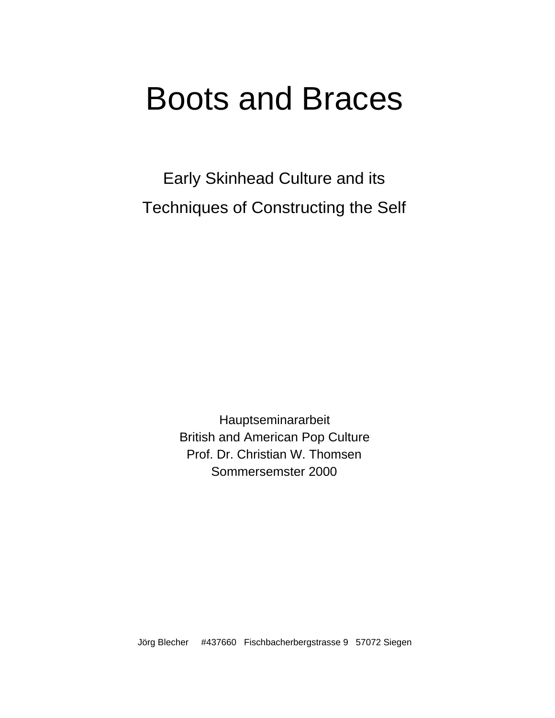# Boots and Braces

Early Skinhead Culture and its Techniques of Constructing the Self

> Hauptseminararbeit British and American Pop Culture Prof. Dr. Christian W. Thomsen Sommersemster 2000

Jörg Blecher #437660 Fischbacherbergstrasse 9 57072 Siegen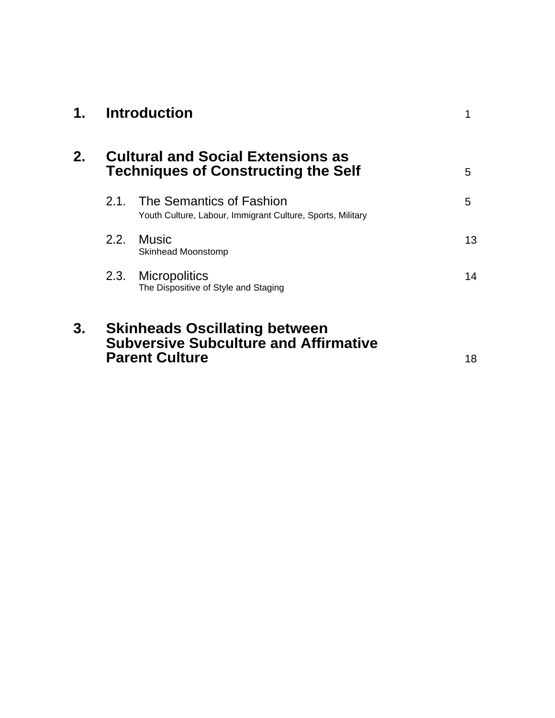| 1. |                                                                                                               | <b>Introduction</b>                                                                    |    |
|----|---------------------------------------------------------------------------------------------------------------|----------------------------------------------------------------------------------------|----|
| 2. | <b>Cultural and Social Extensions as</b><br><b>Techniques of Constructing the Self</b>                        |                                                                                        | 5  |
|    | 2.1.                                                                                                          | The Semantics of Fashion<br>Youth Culture, Labour, Immigrant Culture, Sports, Military | 5  |
|    | 2.2.                                                                                                          | Music<br>Skinhead Moonstomp                                                            | 13 |
|    | 2.3.                                                                                                          | <b>Micropolitics</b><br>The Dispositive of Style and Staging                           | 14 |
| 3. | <b>Skinheads Oscillating between</b><br><b>Subversive Subculture and Affirmative</b><br><b>Parent Culture</b> |                                                                                        | 18 |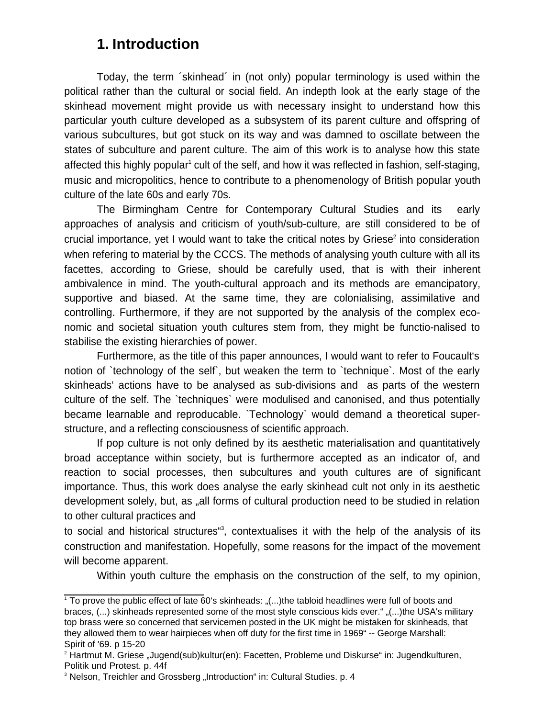# **1. Introduction**

Today, the term ´skinhead´ in (not only) popular terminology is used within the political rather than the cultural or social field. An indepth look at the early stage of the skinhead movement might provide us with necessary insight to understand how this particular youth culture developed as a subsystem of its parent culture and offspring of various subcultures, but got stuck on its way and was damned to oscillate between the states of subculture and parent culture. The aim of this work is to analyse how this state affected this highly popular<sup>1</sup> cult of the self, and how it was reflected in fashion, self-staging, music and micropolitics, hence to contribute to a phenomenology of British popular youth culture of the late 60s and early 70s.

The Birmingham Centre for Contemporary Cultural Studies and its early approaches of analysis and criticism of youth/sub-culture, are still considered to be of crucial importance, yet I would want to take the critical notes by Griese<sup>2</sup> into consideration when refering to material by the CCCS. The methods of analysing youth culture with all its facettes, according to Griese, should be carefully used, that is with their inherent ambivalence in mind. The youth-cultural approach and its methods are emancipatory, supportive and biased. At the same time, they are colonialising, assimilative and controlling. Furthermore, if they are not supported by the analysis of the complex economic and societal situation youth cultures stem from, they might be functio-nalised to stabilise the existing hierarchies of power.

Furthermore, as the title of this paper announces, I would want to refer to Foucault's notion of `technology of the self`, but weaken the term to `technique`. Most of the early skinheads' actions have to be analysed as sub-divisions and as parts of the western culture of the self. The `techniques` were modulised and canonised, and thus potentially became learnable and reproducable. `Technology` would demand a theoretical superstructure, and a reflecting consciousness of scientific approach.

If pop culture is not only defined by its aesthetic materialisation and quantitatively broad acceptance within society, but is furthermore accepted as an indicator of, and reaction to social processes, then subcultures and youth cultures are of significant importance. Thus, this work does analyse the early skinhead cult not only in its aesthetic development solely, but, as "all forms of cultural production need to be studied in relation to other cultural practices and

to social and historical structures <sup>3</sup>, contextualises it with the help of the analysis of its construction and manifestation. Hopefully, some reasons for the impact of the movement will become apparent.

Within youth culture the emphasis on the construction of the self, to my opinion,

they allowed them to wear hairpieces when off duty for the first time in 1969" -- George Marshall: 1 To prove the public effect of late 60's skinheads: "(...)the tabloid headlines were full of boots and braces, (...) skinheads represented some of the most style conscious kids ever." "(...) the USA's military top brass were so concerned that servicemen posted in the UK might be mistaken for skinheads, that Spirit of '69. p 15-20

<sup>&</sup>lt;sup>2</sup> Hartmut M. Griese "Jugend(sub)kultur(en): Facetten, Probleme und Diskurse" in: Jugendkulturen, Politik und Protest. p. 44f

<sup>&</sup>lt;sup>3</sup> Nelson, Treichler and Grossberg "Introduction" in: Cultural Studies. p. 4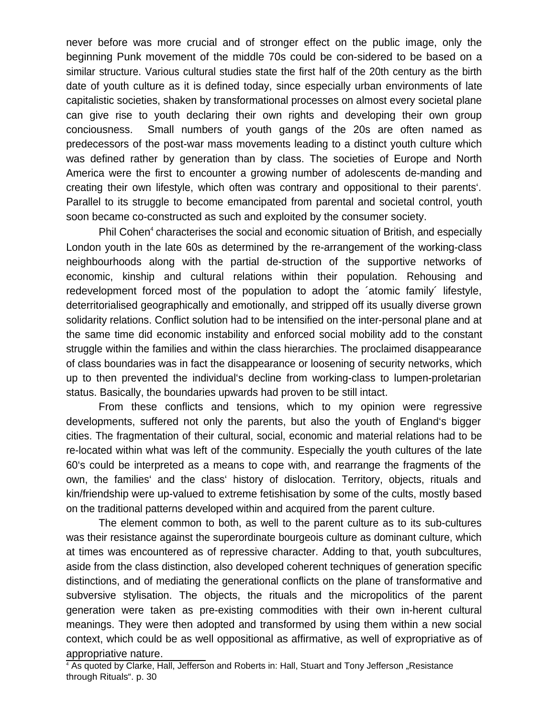never before was more crucial and of stronger effect on the public image, only the beginning Punk movement of the middle 70s could be con-sidered to be based on a similar structure. Various cultural studies state the first half of the 20th century as the birth date of youth culture as it is defined today, since especially urban environments of late capitalistic societies, shaken by transformational processes on almost every societal plane can give rise to youth declaring their own rights and developing their own group conciousness. Small numbers of youth gangs of the 20s are often named as predecessors of the post-war mass movements leading to a distinct youth culture which was defined rather by generation than by class. The societies of Europe and North America were the first to encounter a growing number of adolescents de-manding and creating their own lifestyle, which often was contrary and oppositional to their parents'. Parallel to its struggle to become emancipated from parental and societal control, youth soon became co-constructed as such and exploited by the consumer society.

Phil Cohen<sup>4</sup> characterises the social and economic situation of British, and especially London youth in the late 60s as determined by the re-arrangement of the working-class neighbourhoods along with the partial de-struction of the supportive networks of economic, kinship and cultural relations within their population. Rehousing and redevelopment forced most of the population to adopt the ´atomic family´ lifestyle, deterritorialised geographically and emotionally, and stripped off its usually diverse grown solidarity relations. Conflict solution had to be intensified on the inter-personal plane and at the same time did economic instability and enforced social mobility add to the constant struggle within the families and within the class hierarchies. The proclaimed disappearance of class boundaries was in fact the disappearance or loosening of security networks, which up to then prevented the individual's decline from working-class to lumpen-proletarian status. Basically, the boundaries upwards had proven to be still intact.

From these conflicts and tensions, which to my opinion were regressive developments, suffered not only the parents, but also the youth of England's bigger cities. The fragmentation of their cultural, social, economic and material relations had to be re-located within what was left of the community. Especially the youth cultures of the late 60's could be interpreted as a means to cope with, and rearrange the fragments of the own, the families' and the class' history of dislocation. Territory, objects, rituals and kin/friendship were up-valued to extreme fetishisation by some of the cults, mostly based on the traditional patterns developed within and acquired from the parent culture.

The element common to both, as well to the parent culture as to its sub-cultures was their resistance against the superordinate bourgeois culture as dominant culture, which at times was encountered as of repressive character. Adding to that, youth subcultures, aside from the class distinction, also developed coherent techniques of generation specific distinctions, and of mediating the generational conflicts on the plane of transformative and subversive stylisation. The objects, the rituals and the micropolitics of the parent generation were taken as pre-existing commodities with their own in-herent cultural meanings. They were then adopted and transformed by using them within a new social context, which could be as well oppositional as affirmative, as well of expropriative as of appropriative nature.

<sup>&</sup>lt;sup>4</sup> As quoted by Clarke, Hall, Jefferson and Roberts in: Hall, Stuart and Tony Jefferson "Resistance through Rituals". p. 30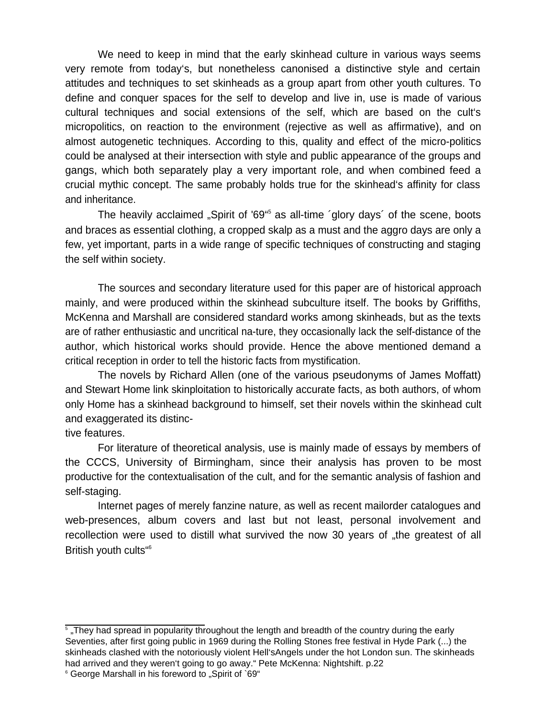We need to keep in mind that the early skinhead culture in various ways seems very remote from today's, but nonetheless canonised a distinctive style and certain attitudes and techniques to set skinheads as a group apart from other youth cultures. To define and conquer spaces for the self to develop and live in, use is made of various cultural techniques and social extensions of the self, which are based on the cult's micropolitics, on reaction to the environment (rejective as well as affirmative), and on almost autogenetic techniques. According to this, quality and effect of the micro-politics could be analysed at their intersection with style and public appearance of the groups and gangs, which both separately play a very important role, and when combined feed a crucial mythic concept. The same probably holds true for the skinhead's affinity for class and inheritance.

The heavily acclaimed "Spirit of '69<sup>45</sup> as all-time 'glory days' of the scene, boots and braces as essential clothing, a cropped skalp as a must and the aggro days are only a few, yet important, parts in a wide range of specific techniques of constructing and staging the self within society.

The sources and secondary literature used for this paper are of historical approach mainly, and were produced within the skinhead subculture itself. The books by Griffiths, McKenna and Marshall are considered standard works among skinheads, but as the texts are of rather enthusiastic and uncritical na-ture, they occasionally lack the self-distance of the author, which historical works should provide. Hence the above mentioned demand a critical reception in order to tell the historic facts from mystification.

The novels by Richard Allen (one of the various pseudonyms of James Moffatt) and Stewart Home link skinploitation to historically accurate facts, as both authors, of whom only Home has a skinhead background to himself, set their novels within the skinhead cult and exaggerated its distinc-

#### tive features.

For literature of theoretical analysis, use is mainly made of essays by members of the CCCS, University of Birmingham, since their analysis has proven to be most productive for the contextualisation of the cult, and for the semantic analysis of fashion and self-staging.

Internet pages of merely fanzine nature, as well as recent mailorder catalogues and web-presences, album covers and last but not least, personal involvement and recollection were used to distill what survived the now 30 years of "the greatest of all British youth cults"<sup>6</sup>

 $^{\circ}$  "They had spread in popularity throughout the length and breadth of the country during the early Seventies, after first going public in 1969 during the Rolling Stones free festival in Hyde Park (...) the skinheads clashed with the notoriously violent Hell'sAngels under the hot London sun. The skinheads had arrived and they weren't going to go away." Pete McKenna: Nightshift. p.22

<sup>&</sup>lt;sup>6</sup> George Marshall in his foreword to "Spirit of `69"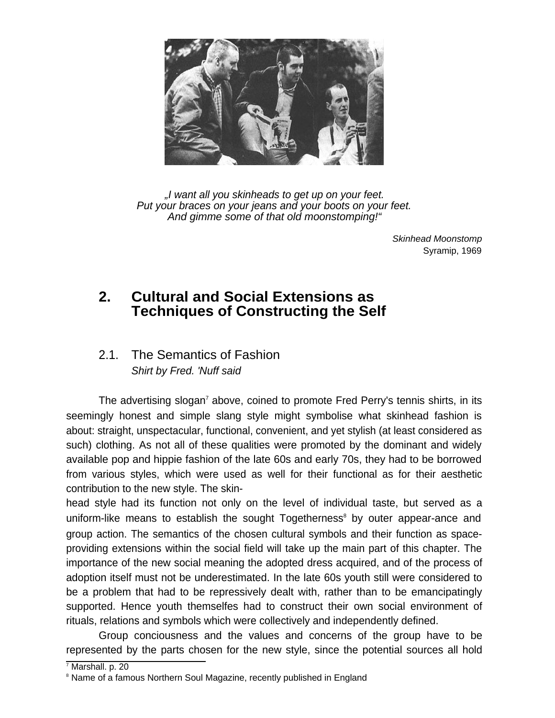

..I want all you skinheads to get up on your feet. Put your braces on your jeans and your boots on your feet. And gimme some of that old moonstomping!"

Skinhead Moonstomp Syramip, 1969

# **2. Cultural and Social Extensions as Techniques of Constructing the Self**

## 2.1. The Semantics of Fashion Shirt by Fred. 'Nuff said

The advertising slogan<sup>7</sup> above, coined to promote Fred Perry's tennis shirts, in its seemingly honest and simple slang style might symbolise what skinhead fashion is about: straight, unspectacular, functional, convenient, and yet stylish (at least considered as such) clothing. As not all of these qualities were promoted by the dominant and widely available pop and hippie fashion of the late 60s and early 70s, they had to be borrowed from various styles, which were used as well for their functional as for their aesthetic contribution to the new style. The skin-

head style had its function not only on the level of individual taste, but served as a uniform-like means to establish the sought Togetherness<sup>8</sup> by outer appear-ance and group action. The semantics of the chosen cultural symbols and their function as spaceproviding extensions within the social field will take up the main part of this chapter. The importance of the new social meaning the adopted dress acquired, and of the process of adoption itself must not be underestimated. In the late 60s youth still were considered to be a problem that had to be repressively dealt with, rather than to be emancipatingly supported. Hence youth themselfes had to construct their own social environment of rituals, relations and symbols which were collectively and independently defined.

Group conciousness and the values and concerns of the group have to be represented by the parts chosen for the new style, since the potential sources all hold

<sup>7</sup> Marshall. p. 20

<sup>&</sup>lt;sup>8</sup> Name of a famous Northern Soul Magazine, recently published in England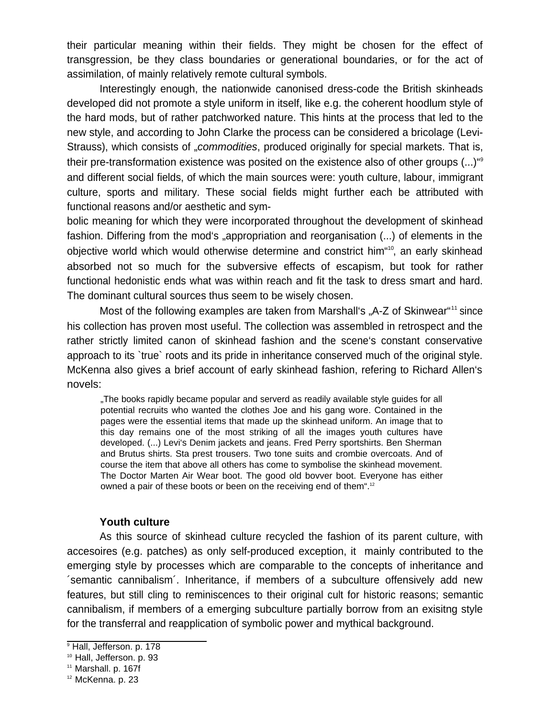their particular meaning within their fields. They might be chosen for the effect of transgression, be they class boundaries or generational boundaries, or for the act of assimilation, of mainly relatively remote cultural symbols.

Interestingly enough, the nationwide canonised dress-code the British skinheads developed did not promote a style uniform in itself, like e.g. the coherent hoodlum style of the hard mods, but of rather patchworked nature. This hints at the process that led to the new style, and according to John Clarke the process can be considered a bricolage (Levi-Strauss), which consists of "*commodities*, produced originally for special markets. That is, their pre-transformation existence was posited on the existence also of other groups (...)"<sup>9</sup> and different social fields, of which the main sources were: youth culture, labour, immigrant culture, sports and military. These social fields might further each be attributed with functional reasons and/or aesthetic and sym-

bolic meaning for which they were incorporated throughout the development of skinhead fashion. Differing from the mod's "appropriation and reorganisation (...) of elements in the objective world which would otherwise determine and constrict him"<sup>10</sup>, an early skinhead absorbed not so much for the subversive effects of escapism, but took for rather functional hedonistic ends what was within reach and fit the task to dress smart and hard. The dominant cultural sources thus seem to be wisely chosen.

Most of the following examples are taken from Marshall's "A-Z of Skinwear"<sup>11</sup> since his collection has proven most useful. The collection was assembled in retrospect and the rather strictly limited canon of skinhead fashion and the scene's constant conservative approach to its `true` roots and its pride in inheritance conserved much of the original style. McKenna also gives a brief account of early skinhead fashion, refering to Richard Allen's novels:

"The books rapidly became popular and serverd as readily available style guides for all potential recruits who wanted the clothes Joe and his gang wore. Contained in the pages were the essential items that made up the skinhead uniform. An image that to this day remains one of the most striking of all the images youth cultures have developed. (...) Levi's Denim jackets and jeans. Fred Perry sportshirts. Ben Sherman and Brutus shirts. Sta prest trousers. Two tone suits and crombie overcoats. And of course the item that above all others has come to symbolise the skinhead movement. The Doctor Marten Air Wear boot. The good old bovver boot. Everyone has either owned a pair of these boots or been on the receiving end of them".<sup>12</sup>

#### **Youth culture**

As this source of skinhead culture recycled the fashion of its parent culture, with accesoires (e.g. patches) as only self-produced exception, it mainly contributed to the emerging style by processes which are comparable to the concepts of inheritance and ´semantic cannibalism´. Inheritance, if members of a subculture offensively add new features, but still cling to reminiscences to their original cult for historic reasons; semantic cannibalism, if members of a emerging subculture partially borrow from an exisitng style for the transferral and reapplication of symbolic power and mythical background.

<sup>9</sup> Hall, Jefferson. p. 178

<sup>10</sup> Hall, Jefferson. p. 93

<sup>&</sup>lt;sup>11</sup> Marshall. p. 167f

<sup>&</sup>lt;sup>12</sup> McKenna, p. 23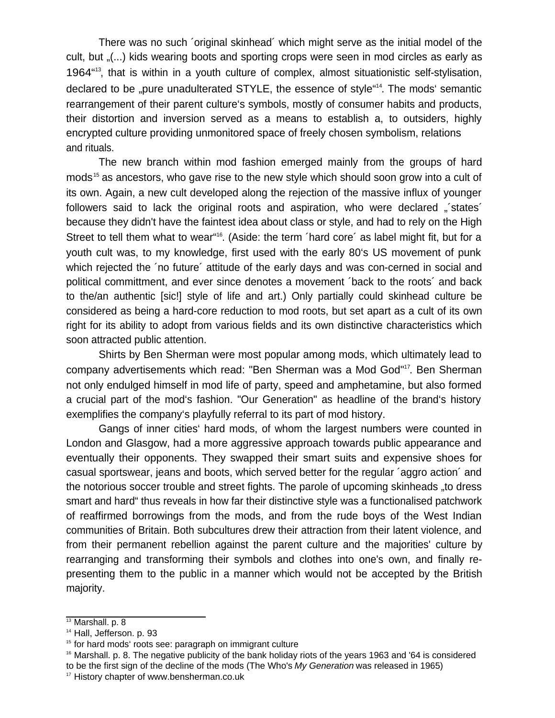There was no such ´original skinhead´ which might serve as the initial model of the cult, but "(...) kids wearing boots and sporting crops were seen in mod circles as early as 1964"<sup>13</sup>, that is within in a youth culture of complex, almost situationistic self-stylisation, declared to be "pure unadulterated STYLE, the essence of style"<sup>14</sup>. The mods' semantic rearrangement of their parent culture's symbols, mostly of consumer habits and products, their distortion and inversion served as a means to establish a, to outsiders, highly encrypted culture providing unmonitored space of freely chosen symbolism, relations and rituals.

The new branch within mod fashion emerged mainly from the groups of hard mods<sup>15</sup> as ancestors, who gave rise to the new style which should soon grow into a cult of its own. Again, a new cult developed along the rejection of the massive influx of younger followers said to lack the original roots and aspiration, who were declared "'states' because they didn't have the faintest idea about class or style, and had to rely on the High Street to tell them what to wear"<sup>16</sup>. (Aside: the term 'hard core' as label might fit, but for a youth cult was, to my knowledge, first used with the early 80's US movement of punk which rejected the 'no future' attitude of the early days and was con-cerned in social and political committment, and ever since denotes a movement ´back to the roots´ and back to the/an authentic [sic!] style of life and art.) Only partially could skinhead culture be considered as being a hard-core reduction to mod roots, but set apart as a cult of its own right for its ability to adopt from various fields and its own distinctive characteristics which soon attracted public attention.

Shirts by Ben Sherman were most popular among mods, which ultimately lead to company advertisements which read: "Ben Sherman was a Mod God"<sup>17</sup>. Ben Sherman not only endulged himself in mod life of party, speed and amphetamine, but also formed a crucial part of the mod's fashion. "Our Generation" as headline of the brand's history exemplifies the company's playfully referral to its part of mod history.

Gangs of inner cities' hard mods, of whom the largest numbers were counted in London and Glasgow, had a more aggressive approach towards public appearance and eventually their opponents. They swapped their smart suits and expensive shoes for casual sportswear, jeans and boots, which served better for the regular ´aggro action´ and the notorious soccer trouble and street fights. The parole of upcoming skinheads "to dress smart and hard" thus reveals in how far their distinctive style was a functionalised patchwork of reaffirmed borrowings from the mods, and from the rude boys of the West Indian communities of Britain. Both subcultures drew their attraction from their latent violence, and from their permanent rebellion against the parent culture and the majorities' culture by rearranging and transforming their symbols and clothes into one's own, and finally representing them to the public in a manner which would not be accepted by the British majority.

 $\frac{13}{13}$  Marshall, p. 8

<sup>14</sup> Hall, Jefferson. p. 93

<sup>&</sup>lt;sup>15</sup> for hard mods' roots see: paragraph on immigrant culture

 $16$  Marshall. p. 8. The negative publicity of the bank holiday riots of the years 1963 and '64 is considered to be the first sign of the decline of the mods (The Who's My Generation was released in 1965)

<sup>&</sup>lt;sup>17</sup> History chapter of www.bensherman.co.uk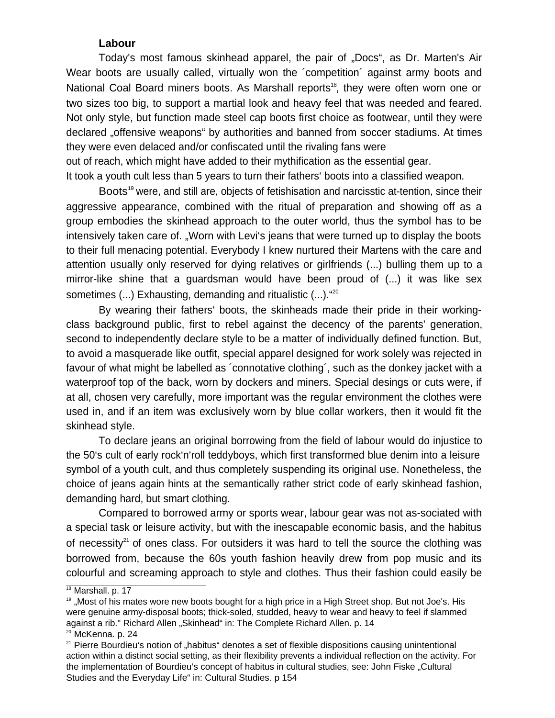#### **Labour**

Today's most famous skinhead apparel, the pair of "Docs", as Dr. Marten's Air Wear boots are usually called, virtually won the 'competition' against army boots and National Coal Board miners boots. As Marshall reports<sup>18</sup>, they were often worn one or two sizes too big, to support a martial look and heavy feel that was needed and feared. Not only style, but function made steel cap boots first choice as footwear, until they were declared "offensive weapons" by authorities and banned from soccer stadiums. At times they were even delaced and/or confiscated until the rivaling fans were

out of reach, which might have added to their mythification as the essential gear.

It took a youth cult less than 5 years to turn their fathers' boots into a classified weapon.

Boots<sup>19</sup> were, and still are, objects of fetishisation and narcisstic at-tention, since their aggressive appearance, combined with the ritual of preparation and showing off as a group embodies the skinhead approach to the outer world, thus the symbol has to be intensively taken care of. "Worn with Levi's jeans that were turned up to display the boots to their full menacing potential. Everybody I knew nurtured their Martens with the care and attention usually only reserved for dying relatives or girlfriends (...) bulling them up to a mirror-like shine that a guardsman would have been proud of (...) it was like sex sometimes (...) Exhausting, demanding and ritualistic (...). "20

By wearing their fathers' boots, the skinheads made their pride in their workingclass background public, first to rebel against the decency of the parents' generation, second to independently declare style to be a matter of individually defined function. But, to avoid a masquerade like outfit, special apparel designed for work solely was rejected in favour of what might be labelled as ´connotative clothing´, such as the donkey jacket with a waterproof top of the back, worn by dockers and miners. Special desings or cuts were, if at all, chosen very carefully, more important was the regular environment the clothes were used in, and if an item was exclusively worn by blue collar workers, then it would fit the skinhead style.

To declare jeans an original borrowing from the field of labour would do injustice to the 50's cult of early rock'n'roll teddyboys, which first transformed blue denim into a leisure symbol of a youth cult, and thus completely suspending its original use. Nonetheless, the choice of jeans again hints at the semantically rather strict code of early skinhead fashion, demanding hard, but smart clothing.

Compared to borrowed army or sports wear, labour gear was not as-sociated with a special task or leisure activity, but with the inescapable economic basis, and the habitus of necessity<sup>21</sup> of ones class. For outsiders it was hard to tell the source the clothing was borrowed from, because the 60s youth fashion heavily drew from pop music and its colourful and screaming approach to style and clothes. Thus their fashion could easily be

 $18$  Marshall. p. 17

 $19$  , Most of his mates wore new boots bought for a high price in a High Street shop. But not Joe's. His were genuine army-disposal boots; thick-soled, studded, heavy to wear and heavy to feel if slammed against a rib." Richard Allen "Skinhead" in: The Complete Richard Allen. p. 14

<sup>&</sup>lt;sup>20</sup> McKenna. p. 24

<sup>&</sup>lt;sup>21</sup> Pierre Bourdieu's notion of "habitus" denotes a set of flexible dispositions causing unintentional action within a distinct social setting, as their flexibility prevents a individual reflection on the activity. For the implementation of Bourdieu's concept of habitus in cultural studies, see: John Fiske "Cultural Studies and the Everyday Life" in: Cultural Studies. p 154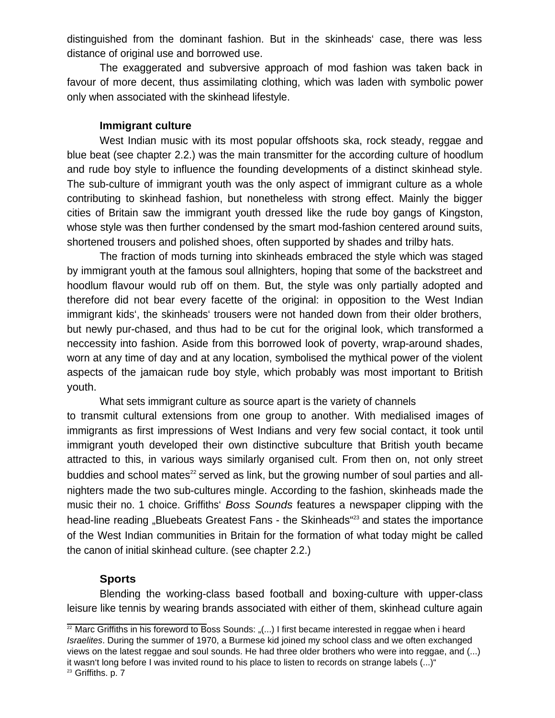distinguished from the dominant fashion. But in the skinheads' case, there was less distance of original use and borrowed use.

The exaggerated and subversive approach of mod fashion was taken back in favour of more decent, thus assimilating clothing, which was laden with symbolic power only when associated with the skinhead lifestyle.

#### **Immigrant culture**

West Indian music with its most popular offshoots ska, rock steady, reggae and blue beat (see chapter 2.2.) was the main transmitter for the according culture of hoodlum and rude boy style to influence the founding developments of a distinct skinhead style. The sub-culture of immigrant youth was the only aspect of immigrant culture as a whole contributing to skinhead fashion, but nonetheless with strong effect. Mainly the bigger cities of Britain saw the immigrant youth dressed like the rude boy gangs of Kingston, whose style was then further condensed by the smart mod-fashion centered around suits, shortened trousers and polished shoes, often supported by shades and trilby hats.

The fraction of mods turning into skinheads embraced the style which was staged by immigrant youth at the famous soul allnighters, hoping that some of the backstreet and hoodlum flavour would rub off on them. But, the style was only partially adopted and therefore did not bear every facette of the original: in opposition to the West Indian immigrant kids', the skinheads' trousers were not handed down from their older brothers, but newly pur-chased, and thus had to be cut for the original look, which transformed a neccessity into fashion. Aside from this borrowed look of poverty, wrap-around shades, worn at any time of day and at any location, symbolised the mythical power of the violent aspects of the jamaican rude boy style, which probably was most important to British youth.

What sets immigrant culture as source apart is the variety of channels

to transmit cultural extensions from one group to another. With medialised images of immigrants as first impressions of West Indians and very few social contact, it took until immigrant youth developed their own distinctive subculture that British youth became attracted to this, in various ways similarly organised cult. From then on, not only street buddies and school mates<sup>22</sup> served as link, but the growing number of soul parties and allnighters made the two sub-cultures mingle. According to the fashion, skinheads made the music their no. 1 choice. Griffiths' Boss Sounds features a newspaper clipping with the head-line reading "Bluebeats Greatest Fans - the Skinheads"<sup>23</sup> and states the importance of the West Indian communities in Britain for the formation of what today might be called the canon of initial skinhead culture. (see chapter 2.2.)

#### **Sports**

Blending the working-class based football and boxing-culture with upper-class leisure like tennis by wearing brands associated with either of them, skinhead culture again

<sup>23</sup> Griffiths. p. 7

 $22$  Marc Griffiths in his foreword to Boss Sounds: "(...) I first became interested in reggae when i heard Israelites. During the summer of 1970, a Burmese kid joined my school class and we often exchanged views on the latest reggae and soul sounds. He had three older brothers who were into reggae, and (...) it wasn't long before I was invited round to his place to listen to records on strange labels (...)"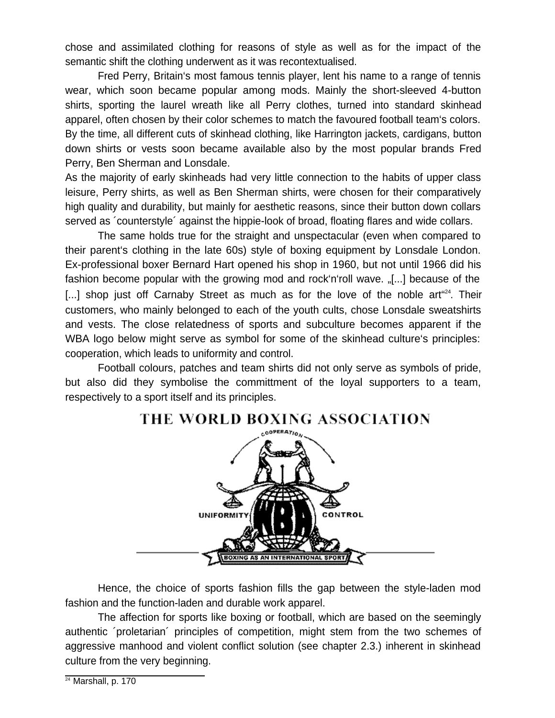chose and assimilated clothing for reasons of style as well as for the impact of the semantic shift the clothing underwent as it was recontextualised.

Fred Perry, Britain's most famous tennis player, lent his name to a range of tennis wear, which soon became popular among mods. Mainly the short-sleeved 4-button shirts, sporting the laurel wreath like all Perry clothes, turned into standard skinhead apparel, often chosen by their color schemes to match the favoured football team's colors. By the time, all different cuts of skinhead clothing, like Harrington jackets, cardigans, button down shirts or vests soon became available also by the most popular brands Fred Perry, Ben Sherman and Lonsdale.

As the majority of early skinheads had very little connection to the habits of upper class leisure, Perry shirts, as well as Ben Sherman shirts, were chosen for their comparatively high quality and durability, but mainly for aesthetic reasons, since their button down collars served as ´counterstyle´ against the hippie-look of broad, floating flares and wide collars.

The same holds true for the straight and unspectacular (even when compared to their parent's clothing in the late 60s) style of boxing equipment by Lonsdale London. Ex-professional boxer Bernard Hart opened his shop in 1960, but not until 1966 did his fashion become popular with the growing mod and rock'n'roll wave. "[...] because of the [...] shop just off Carnaby Street as much as for the love of the noble art<sup>"24</sup>. Their customers, who mainly belonged to each of the youth cults, chose Lonsdale sweatshirts and vests. The close relatedness of sports and subculture becomes apparent if the WBA logo below might serve as symbol for some of the skinhead culture's principles: cooperation, which leads to uniformity and control.

Football colours, patches and team shirts did not only serve as symbols of pride, but also did they symbolise the committment of the loyal supporters to a team, respectively to a sport itself and its principles.



# THE WORLD BOXING ASSOCIATION

Hence, the choice of sports fashion fills the gap between the style-laden mod fashion and the function-laden and durable work apparel.

The affection for sports like boxing or football, which are based on the seemingly authentic ´proletarian´ principles of competition, might stem from the two schemes of aggressive manhood and violent conflict solution (see chapter 2.3.) inherent in skinhead culture from the very beginning.

 $24$  Marshall, p. 170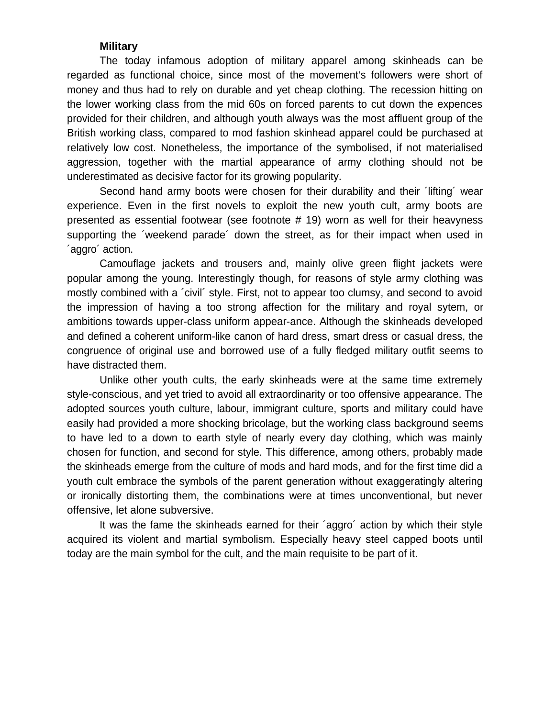#### **Military**

The today infamous adoption of military apparel among skinheads can be regarded as functional choice, since most of the movement's followers were short of money and thus had to rely on durable and yet cheap clothing. The recession hitting on the lower working class from the mid 60s on forced parents to cut down the expences provided for their children, and although youth always was the most affluent group of the British working class, compared to mod fashion skinhead apparel could be purchased at relatively low cost. Nonetheless, the importance of the symbolised, if not materialised aggression, together with the martial appearance of army clothing should not be underestimated as decisive factor for its growing popularity.

Second hand army boots were chosen for their durability and their ´lifting´ wear experience. Even in the first novels to exploit the new youth cult, army boots are presented as essential footwear (see footnote # 19) worn as well for their heavyness supporting the ´weekend parade´ down the street, as for their impact when used in ´aggro´ action.

Camouflage jackets and trousers and, mainly olive green flight jackets were popular among the young. Interestingly though, for reasons of style army clothing was mostly combined with a ´civil´ style. First, not to appear too clumsy, and second to avoid the impression of having a too strong affection for the military and royal sytem, or ambitions towards upper-class uniform appear-ance. Although the skinheads developed and defined a coherent uniform-like canon of hard dress, smart dress or casual dress, the congruence of original use and borrowed use of a fully fledged military outfit seems to have distracted them.

Unlike other youth cults, the early skinheads were at the same time extremely style-conscious, and yet tried to avoid all extraordinarity or too offensive appearance. The adopted sources youth culture, labour, immigrant culture, sports and military could have easily had provided a more shocking bricolage, but the working class background seems to have led to a down to earth style of nearly every day clothing, which was mainly chosen for function, and second for style. This difference, among others, probably made the skinheads emerge from the culture of mods and hard mods, and for the first time did a youth cult embrace the symbols of the parent generation without exaggeratingly altering or ironically distorting them, the combinations were at times unconventional, but never offensive, let alone subversive.

It was the fame the skinheads earned for their ´aggro´ action by which their style acquired its violent and martial symbolism. Especially heavy steel capped boots until today are the main symbol for the cult, and the main requisite to be part of it.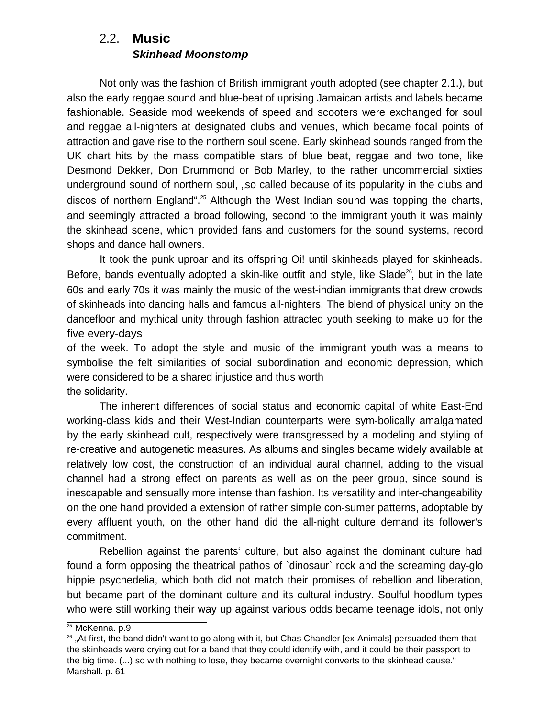### 2.2. **Music Skinhead Moonstomp**

Not only was the fashion of British immigrant youth adopted (see chapter 2.1.), but also the early reggae sound and blue-beat of uprising Jamaican artists and labels became fashionable. Seaside mod weekends of speed and scooters were exchanged for soul and reggae all-nighters at designated clubs and venues, which became focal points of attraction and gave rise to the northern soul scene. Early skinhead sounds ranged from the UK chart hits by the mass compatible stars of blue beat, reggae and two tone, like Desmond Dekker, Don Drummond or Bob Marley, to the rather uncommercial sixties underground sound of northern soul, "so called because of its popularity in the clubs and discos of northern England"<sup>25</sup> Although the West Indian sound was topping the charts, and seemingly attracted a broad following, second to the immigrant youth it was mainly the skinhead scene, which provided fans and customers for the sound systems, record shops and dance hall owners.

It took the punk uproar and its offspring Oi! until skinheads played for skinheads. Before, bands eventually adopted a skin-like outfit and style, like Slade<sup>26</sup>, but in the late 60s and early 70s it was mainly the music of the west-indian immigrants that drew crowds of skinheads into dancing halls and famous all-nighters. The blend of physical unity on the dancefloor and mythical unity through fashion attracted youth seeking to make up for the five every-days

of the week. To adopt the style and music of the immigrant youth was a means to symbolise the felt similarities of social subordination and economic depression, which were considered to be a shared injustice and thus worth the solidarity.

The inherent differences of social status and economic capital of white East-End working-class kids and their West-Indian counterparts were sym-bolically amalgamated by the early skinhead cult, respectively were transgressed by a modeling and styling of re-creative and autogenetic measures. As albums and singles became widely available at relatively low cost, the construction of an individual aural channel, adding to the visual channel had a strong effect on parents as well as on the peer group, since sound is inescapable and sensually more intense than fashion. Its versatility and inter-changeability on the one hand provided a extension of rather simple con-sumer patterns, adoptable by every affluent youth, on the other hand did the all-night culture demand its follower's commitment.

Rebellion against the parents' culture, but also against the dominant culture had found a form opposing the theatrical pathos of `dinosaur` rock and the screaming day-glo hippie psychedelia, which both did not match their promises of rebellion and liberation, but became part of the dominant culture and its cultural industry. Soulful hoodlum types who were still working their way up against various odds became teenage idols, not only

 $25$  McKenna. p.9

 $26$   $\mu$ At first, the band didn't want to go along with it, but Chas Chandler [ex-Animals] persuaded them that the skinheads were crying out for a band that they could identify with, and it could be their passport to the big time. (...) so with nothing to lose, they became overnight converts to the skinhead cause." Marshall. p. 61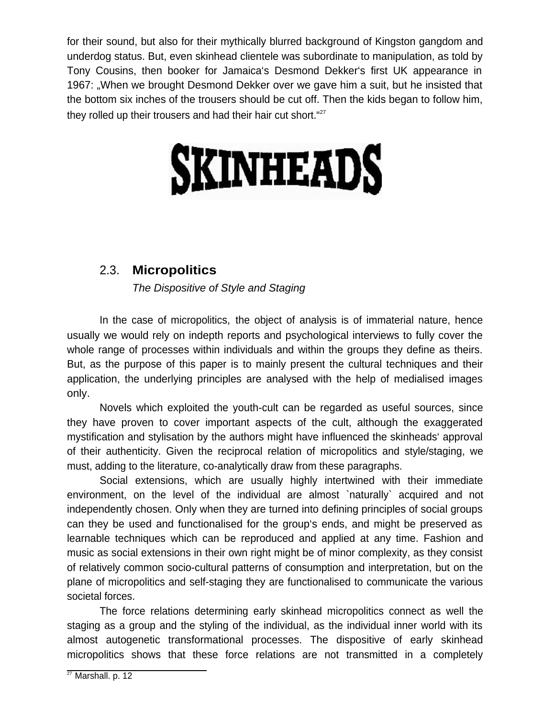for their sound, but also for their mythically blurred background of Kingston gangdom and underdog status. But, even skinhead clientele was subordinate to manipulation, as told by Tony Cousins, then booker for Jamaica's Desmond Dekker's first UK appearance in 1967: "When we brought Desmond Dekker over we gave him a suit, but he insisted that the bottom six inches of the trousers should be cut off. Then the kids began to follow him, they rolled up their trousers and had their hair cut short."<sup>27</sup>

# **SKINHEADS**

# 2.3. **Micropolitics**

The Dispositive of Style and Staging

In the case of micropolitics, the object of analysis is of immaterial nature, hence usually we would rely on indepth reports and psychological interviews to fully cover the whole range of processes within individuals and within the groups they define as theirs. But, as the purpose of this paper is to mainly present the cultural techniques and their application, the underlying principles are analysed with the help of medialised images only.

Novels which exploited the youth-cult can be regarded as useful sources, since they have proven to cover important aspects of the cult, although the exaggerated mystification and stylisation by the authors might have influenced the skinheads' approval of their authenticity. Given the reciprocal relation of micropolitics and style/staging, we must, adding to the literature, co-analytically draw from these paragraphs.

Social extensions, which are usually highly intertwined with their immediate environment, on the level of the individual are almost `naturally` acquired and not independently chosen. Only when they are turned into defining principles of social groups can they be used and functionalised for the group's ends, and might be preserved as learnable techniques which can be reproduced and applied at any time. Fashion and music as social extensions in their own right might be of minor complexity, as they consist of relatively common socio-cultural patterns of consumption and interpretation, but on the plane of micropolitics and self-staging they are functionalised to communicate the various societal forces.

The force relations determining early skinhead micropolitics connect as well the staging as a group and the styling of the individual, as the individual inner world with its almost autogenetic transformational processes. The dispositive of early skinhead micropolitics shows that these force relations are not transmitted in a completely

 $27$  Marshall. p. 12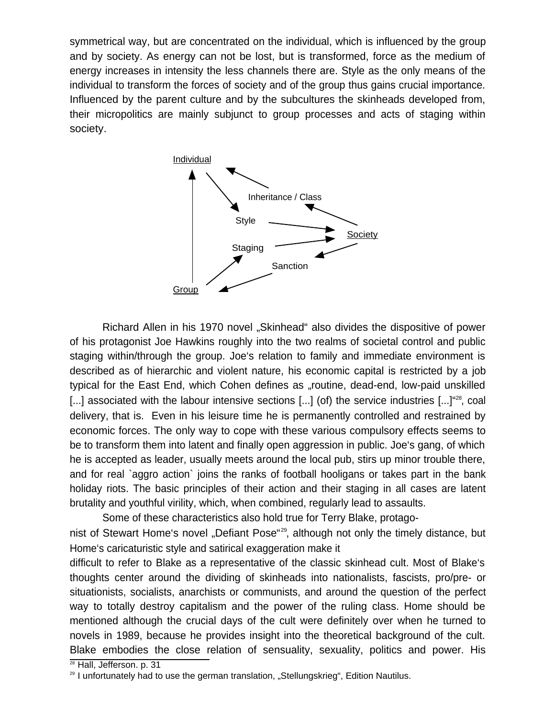symmetrical way, but are concentrated on the individual, which is influenced by the group and by society. As energy can not be lost, but is transformed, force as the medium of energy increases in intensity the less channels there are. Style as the only means of the individual to transform the forces of society and of the group thus gains crucial importance. Influenced by the parent culture and by the subcultures the skinheads developed from, their micropolitics are mainly subjunct to group processes and acts of staging within society.



Richard Allen in his 1970 novel "Skinhead" also divides the dispositive of power of his protagonist Joe Hawkins roughly into the two realms of societal control and public staging within/through the group. Joe's relation to family and immediate environment is described as of hierarchic and violent nature, his economic capital is restricted by a job typical for the East End, which Cohen defines as "routine, dead-end, low-paid unskilled [...] associated with the labour intensive sections [...] (of) the service industries [...]<sup>"28</sup>, coal delivery, that is. Even in his leisure time he is permanently controlled and restrained by economic forces. The only way to cope with these various compulsory effects seems to be to transform them into latent and finally open aggression in public. Joe's gang, of which he is accepted as leader, usually meets around the local pub, stirs up minor trouble there, and for real `aggro action` joins the ranks of football hooligans or takes part in the bank holiday riots. The basic principles of their action and their staging in all cases are latent brutality and youthful virility, which, when combined, regularly lead to assaults.

Some of these characteristics also hold true for Terry Blake, protagonist of Stewart Home's novel "Defiant Pose"<sup>29</sup>, although not only the timely distance, but Home's caricaturistic style and satirical exaggeration make it

difficult to refer to Blake as a representative of the classic skinhead cult. Most of Blake's thoughts center around the dividing of skinheads into nationalists, fascists, pro/pre- or situationists, socialists, anarchists or communists, and around the question of the perfect way to totally destroy capitalism and the power of the ruling class. Home should be mentioned although the crucial days of the cult were definitely over when he turned to novels in 1989, because he provides insight into the theoretical background of the cult. Blake embodies the close relation of sensuality, sexuality, politics and power. His

 $28$  Hall, Jefferson. p. 31

 $29$  I unfortunately had to use the german translation, "Stellungskrieg", Edition Nautilus.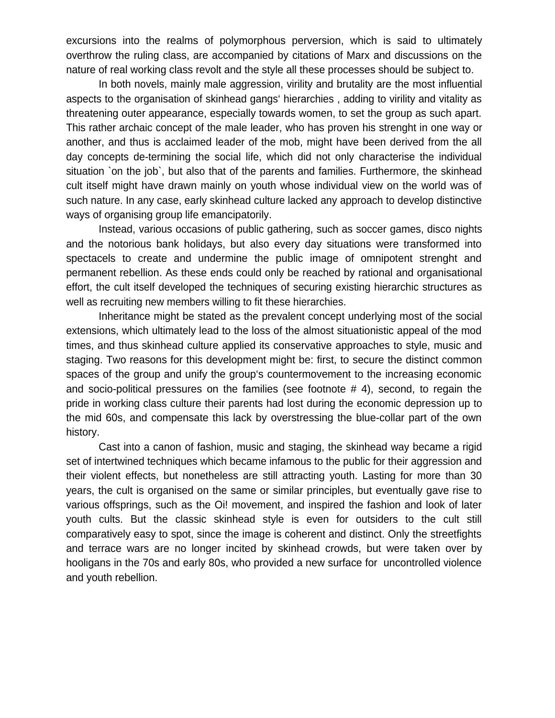excursions into the realms of polymorphous perversion, which is said to ultimately overthrow the ruling class, are accompanied by citations of Marx and discussions on the nature of real working class revolt and the style all these processes should be subject to.

In both novels, mainly male aggression, virility and brutality are the most influential aspects to the organisation of skinhead gangs' hierarchies , adding to virility and vitality as threatening outer appearance, especially towards women, to set the group as such apart. This rather archaic concept of the male leader, who has proven his strenght in one way or another, and thus is acclaimed leader of the mob, might have been derived from the all day concepts de-termining the social life, which did not only characterise the individual situation `on the job`, but also that of the parents and families. Furthermore, the skinhead cult itself might have drawn mainly on youth whose individual view on the world was of such nature. In any case, early skinhead culture lacked any approach to develop distinctive ways of organising group life emancipatorily.

Instead, various occasions of public gathering, such as soccer games, disco nights and the notorious bank holidays, but also every day situations were transformed into spectacels to create and undermine the public image of omnipotent strenght and permanent rebellion. As these ends could only be reached by rational and organisational effort, the cult itself developed the techniques of securing existing hierarchic structures as well as recruiting new members willing to fit these hierarchies.

Inheritance might be stated as the prevalent concept underlying most of the social extensions, which ultimately lead to the loss of the almost situationistic appeal of the mod times, and thus skinhead culture applied its conservative approaches to style, music and staging. Two reasons for this development might be: first, to secure the distinct common spaces of the group and unify the group's countermovement to the increasing economic and socio-political pressures on the families (see footnote # 4), second, to regain the pride in working class culture their parents had lost during the economic depression up to the mid 60s, and compensate this lack by overstressing the blue-collar part of the own history.

Cast into a canon of fashion, music and staging, the skinhead way became a rigid set of intertwined techniques which became infamous to the public for their aggression and their violent effects, but nonetheless are still attracting youth. Lasting for more than 30 years, the cult is organised on the same or similar principles, but eventually gave rise to various offsprings, such as the Oi! movement, and inspired the fashion and look of later youth cults. But the classic skinhead style is even for outsiders to the cult still comparatively easy to spot, since the image is coherent and distinct. Only the streetfights and terrace wars are no longer incited by skinhead crowds, but were taken over by hooligans in the 70s and early 80s, who provided a new surface for uncontrolled violence and youth rebellion.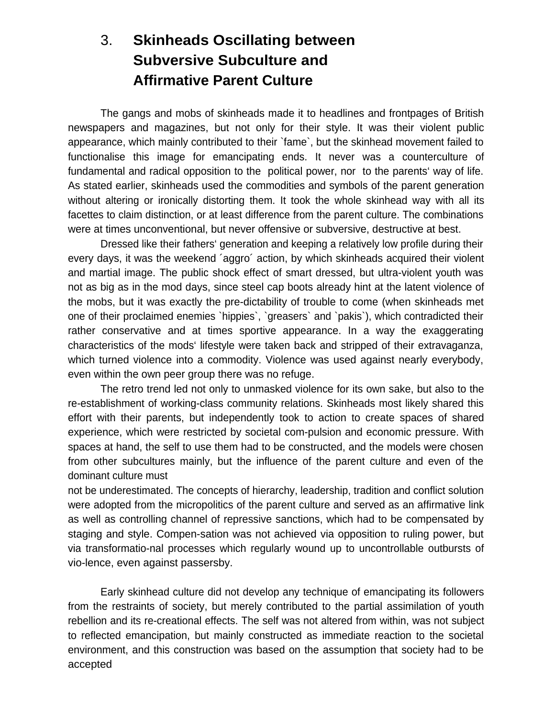# 3. **Skinheads Oscillating between Subversive Subculture and Affirmative Parent Culture**

The gangs and mobs of skinheads made it to headlines and frontpages of British newspapers and magazines, but not only for their style. It was their violent public appearance, which mainly contributed to their `fame`, but the skinhead movement failed to functionalise this image for emancipating ends. It never was a counterculture of fundamental and radical opposition to the political power, nor to the parents' way of life. As stated earlier, skinheads used the commodities and symbols of the parent generation without altering or ironically distorting them. It took the whole skinhead way with all its facettes to claim distinction, or at least difference from the parent culture. The combinations were at times unconventional, but never offensive or subversive, destructive at best.

Dressed like their fathers' generation and keeping a relatively low profile during their every days, it was the weekend ´aggro´ action, by which skinheads acquired their violent and martial image. The public shock effect of smart dressed, but ultra-violent youth was not as big as in the mod days, since steel cap boots already hint at the latent violence of the mobs, but it was exactly the pre-dictability of trouble to come (when skinheads met one of their proclaimed enemies `hippies`, `greasers` and `pakis`), which contradicted their rather conservative and at times sportive appearance. In a way the exaggerating characteristics of the mods' lifestyle were taken back and stripped of their extravaganza, which turned violence into a commodity. Violence was used against nearly everybody, even within the own peer group there was no refuge.

The retro trend led not only to unmasked violence for its own sake, but also to the re-establishment of working-class community relations. Skinheads most likely shared this effort with their parents, but independently took to action to create spaces of shared experience, which were restricted by societal com-pulsion and economic pressure. With spaces at hand, the self to use them had to be constructed, and the models were chosen from other subcultures mainly, but the influence of the parent culture and even of the dominant culture must

not be underestimated. The concepts of hierarchy, leadership, tradition and conflict solution were adopted from the micropolitics of the parent culture and served as an affirmative link as well as controlling channel of repressive sanctions, which had to be compensated by staging and style. Compen-sation was not achieved via opposition to ruling power, but via transformatio-nal processes which regularly wound up to uncontrollable outbursts of vio-lence, even against passersby.

Early skinhead culture did not develop any technique of emancipating its followers from the restraints of society, but merely contributed to the partial assimilation of youth rebellion and its re-creational effects. The self was not altered from within, was not subject to reflected emancipation, but mainly constructed as immediate reaction to the societal environment, and this construction was based on the assumption that society had to be accepted